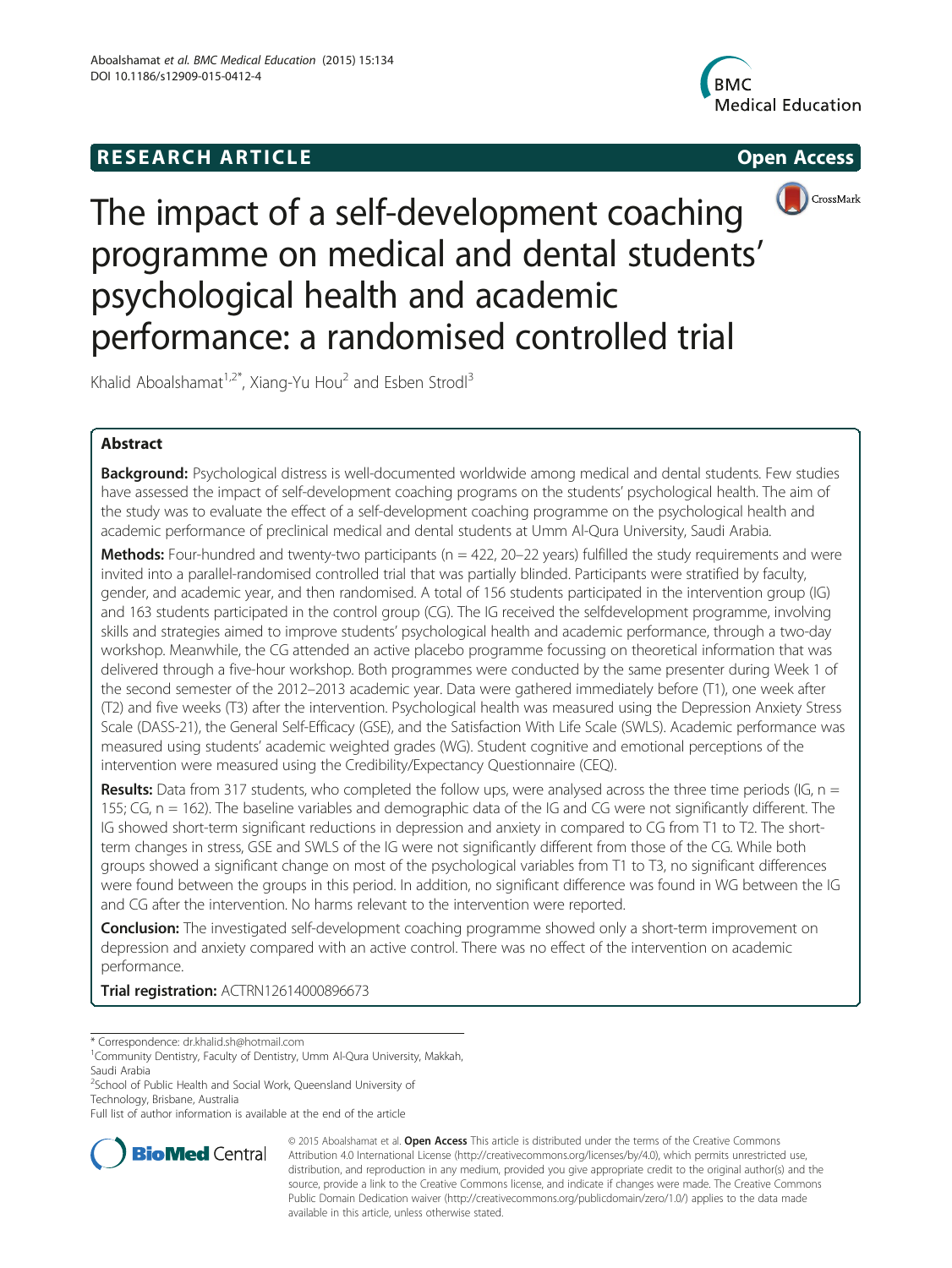# **RESEARCH ARTICLE Example 2014 CONSIDERING CONSIDERING CONSIDERING CONSIDERING CONSIDERING CONSIDERING CONSIDERING CONSIDERING CONSIDERING CONSIDERING CONSIDERING CONSIDERING CONSIDERING CONSIDERING CONSIDERING CONSIDE**







# The impact of a self-development coaching programme on medical and dental students' psychological health and academic performance: a randomised controlled trial

Khalid Aboalshamat<sup>1,2\*</sup>, Xiang-Yu Hou<sup>2</sup> and Esben Strodl<sup>3</sup>

# Abstract

**Background:** Psychological distress is well-documented worldwide among medical and dental students. Few studies have assessed the impact of self-development coaching programs on the students' psychological health. The aim of the study was to evaluate the effect of a self-development coaching programme on the psychological health and academic performance of preclinical medical and dental students at Umm Al-Qura University, Saudi Arabia.

**Methods:** Four-hundred and twenty-two participants ( $n = 422$ , 20–22 years) fulfilled the study requirements and were invited into a parallel-randomised controlled trial that was partially blinded. Participants were stratified by faculty, gender, and academic year, and then randomised. A total of 156 students participated in the intervention group (IG) and 163 students participated in the control group (CG). The IG received the selfdevelopment programme, involving skills and strategies aimed to improve students' psychological health and academic performance, through a two-day workshop. Meanwhile, the CG attended an active placebo programme focussing on theoretical information that was delivered through a five-hour workshop. Both programmes were conducted by the same presenter during Week 1 of the second semester of the 2012–2013 academic year. Data were gathered immediately before (T1), one week after (T2) and five weeks (T3) after the intervention. Psychological health was measured using the Depression Anxiety Stress Scale (DASS-21), the General Self-Efficacy (GSE), and the Satisfaction With Life Scale (SWLS). Academic performance was measured using students' academic weighted grades (WG). Student cognitive and emotional perceptions of the intervention were measured using the Credibility/Expectancy Questionnaire (CEQ).

**Results:** Data from 317 students, who completed the follow ups, were analysed across the three time periods (IG,  $n =$ 155; CG, n = 162). The baseline variables and demographic data of the IG and CG were not significantly different. The IG showed short-term significant reductions in depression and anxiety in compared to CG from T1 to T2. The shortterm changes in stress, GSE and SWLS of the IG were not significantly different from those of the CG. While both groups showed a significant change on most of the psychological variables from T1 to T3, no significant differences were found between the groups in this period. In addition, no significant difference was found in WG between the IG and CG after the intervention. No harms relevant to the intervention were reported.

**Conclusion:** The investigated self-development coaching programme showed only a short-term improvement on depression and anxiety compared with an active control. There was no effect of the intervention on academic performance.

Trial registration: [ACTRN12614000896673](https://www.anzctr.org.au/Trial/Registration/TrialReview.aspx?ACTRN=12614000896673)

\* Correspondence: [dr.khalid.sh@hotmail.com](mailto:dr.khalid.sh@hotmail.com) <sup>1</sup>

Full list of author information is available at the end of the article



© 2015 Aboalshamat et al. Open Access This article is distributed under the terms of the Creative Commons Attribution 4.0 International License [\(http://creativecommons.org/licenses/by/4.0](http://creativecommons.org/licenses/by/4.0)), which permits unrestricted use, distribution, and reproduction in any medium, provided you give appropriate credit to the original author(s) and the source, provide a link to the Creative Commons license, and indicate if changes were made. The Creative Commons Public Domain Dedication waiver ([http://creativecommons.org/publicdomain/zero/1.0/\)](http://creativecommons.org/publicdomain/zero/1.0/) applies to the data made available in this article, unless otherwise stated.

<sup>&</sup>lt;sup>1</sup> Community Dentistry, Faculty of Dentistry, Umm Al-Qura University, Makkah, Saudi Arabia

<sup>&</sup>lt;sup>2</sup>School of Public Health and Social Work, Queensland University of Technology, Brisbane, Australia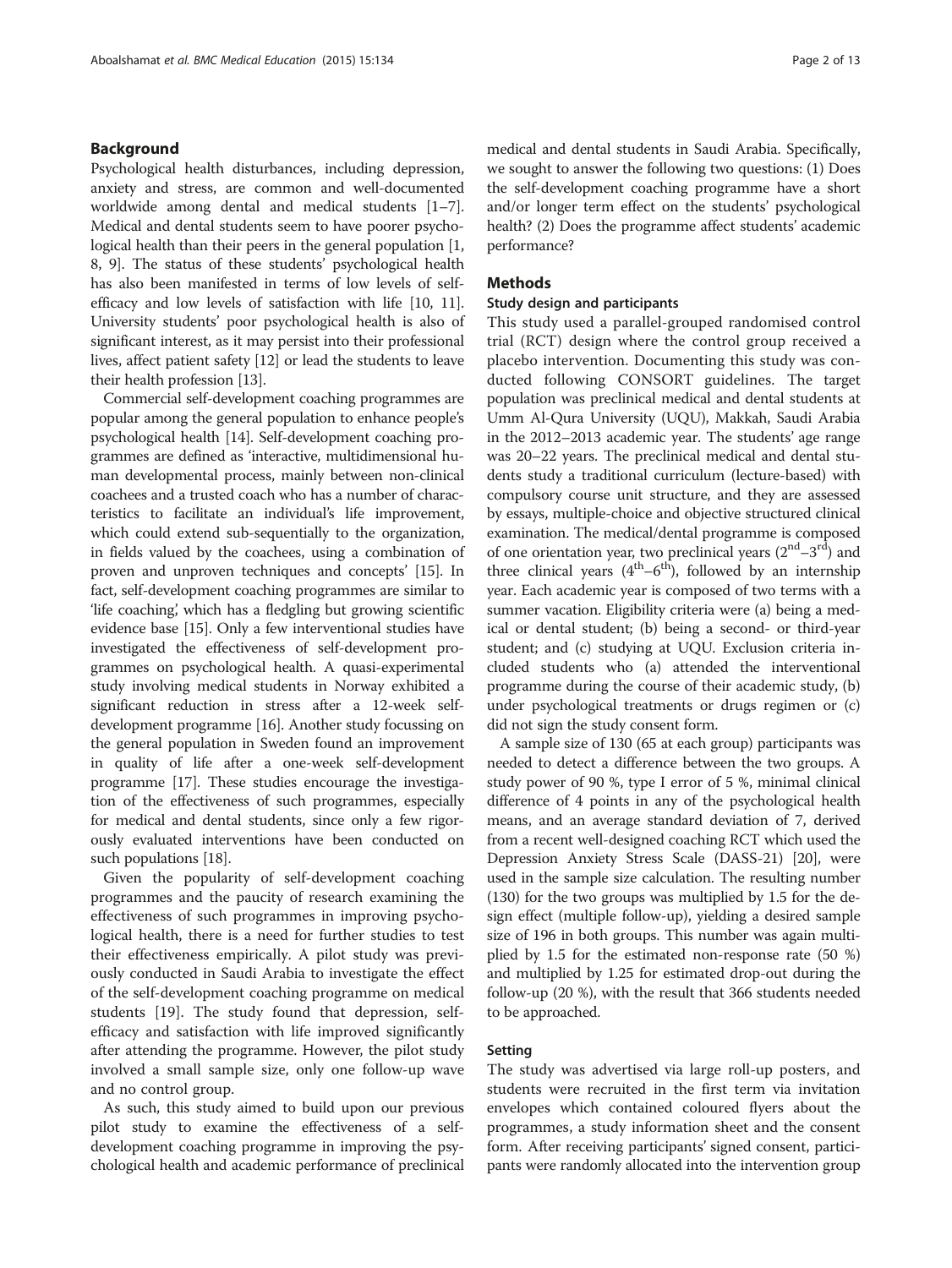#### Background

Psychological health disturbances, including depression, anxiety and stress, are common and well-documented worldwide among dental and medical students [[1](#page-11-0)–[7](#page-11-0)]. Medical and dental students seem to have poorer psychological health than their peers in the general population [[1](#page-11-0), [8, 9\]](#page-11-0). The status of these students' psychological health has also been manifested in terms of low levels of selfefficacy and low levels of satisfaction with life [\[10,](#page-11-0) [11](#page-12-0)]. University students' poor psychological health is also of significant interest, as it may persist into their professional lives, affect patient safety [\[12\]](#page-12-0) or lead the students to leave their health profession [[13](#page-12-0)].

Commercial self-development coaching programmes are popular among the general population to enhance people's psychological health [\[14\]](#page-12-0). Self-development coaching programmes are defined as 'interactive, multidimensional human developmental process, mainly between non-clinical coachees and a trusted coach who has a number of characteristics to facilitate an individual's life improvement, which could extend sub-sequentially to the organization, in fields valued by the coachees, using a combination of proven and unproven techniques and concepts' [[15](#page-12-0)]. In fact, self-development coaching programmes are similar to 'life coaching, which has a fledgling but growing scientific ' evidence base [\[15\]](#page-12-0). Only a few interventional studies have investigated the effectiveness of self-development programmes on psychological health. A quasi-experimental study involving medical students in Norway exhibited a significant reduction in stress after a 12-week selfdevelopment programme [\[16\]](#page-12-0). Another study focussing on the general population in Sweden found an improvement in quality of life after a one-week self-development programme [[17](#page-12-0)]. These studies encourage the investigation of the effectiveness of such programmes, especially for medical and dental students, since only a few rigorously evaluated interventions have been conducted on such populations [\[18](#page-12-0)].

Given the popularity of self-development coaching programmes and the paucity of research examining the effectiveness of such programmes in improving psychological health, there is a need for further studies to test their effectiveness empirically. A pilot study was previously conducted in Saudi Arabia to investigate the effect of the self-development coaching programme on medical students [[19\]](#page-12-0). The study found that depression, selfefficacy and satisfaction with life improved significantly after attending the programme. However, the pilot study involved a small sample size, only one follow-up wave and no control group.

As such, this study aimed to build upon our previous pilot study to examine the effectiveness of a selfdevelopment coaching programme in improving the psychological health and academic performance of preclinical medical and dental students in Saudi Arabia. Specifically, we sought to answer the following two questions: (1) Does the self-development coaching programme have a short and/or longer term effect on the students' psychological health? (2) Does the programme affect students' academic performance?

# **Methods**

#### Study design and participants

This study used a parallel-grouped randomised control trial (RCT) design where the control group received a placebo intervention. Documenting this study was conducted following CONSORT guidelines. The target population was preclinical medical and dental students at Umm Al-Qura University (UQU), Makkah, Saudi Arabia in the 2012–2013 academic year. The students' age range was 20–22 years. The preclinical medical and dental students study a traditional curriculum (lecture-based) with compulsory course unit structure, and they are assessed by essays, multiple-choice and objective structured clinical examination. The medical/dental programme is composed of one orientation year, two preclinical years  $(2<sup>nd</sup>-3<sup>rd</sup>)$  and three clinical years  $(4<sup>th</sup>-6<sup>th</sup>)$ , followed by an internship year. Each academic year is composed of two terms with a summer vacation. Eligibility criteria were (a) being a medical or dental student; (b) being a second- or third-year student; and (c) studying at UQU. Exclusion criteria included students who (a) attended the interventional programme during the course of their academic study, (b) under psychological treatments or drugs regimen or (c) did not sign the study consent form.

A sample size of 130 (65 at each group) participants was needed to detect a difference between the two groups. A study power of 90 %, type I error of 5 %, minimal clinical difference of 4 points in any of the psychological health means, and an average standard deviation of 7, derived from a recent well-designed coaching RCT which used the Depression Anxiety Stress Scale (DASS-21) [\[20\]](#page-12-0), were used in the sample size calculation. The resulting number (130) for the two groups was multiplied by 1.5 for the design effect (multiple follow-up), yielding a desired sample size of 196 in both groups. This number was again multiplied by 1.5 for the estimated non-response rate (50 %) and multiplied by 1.25 for estimated drop-out during the follow-up (20 %), with the result that 366 students needed to be approached.

# Setting

The study was advertised via large roll-up posters, and students were recruited in the first term via invitation envelopes which contained coloured flyers about the programmes, a study information sheet and the consent form. After receiving participants' signed consent, participants were randomly allocated into the intervention group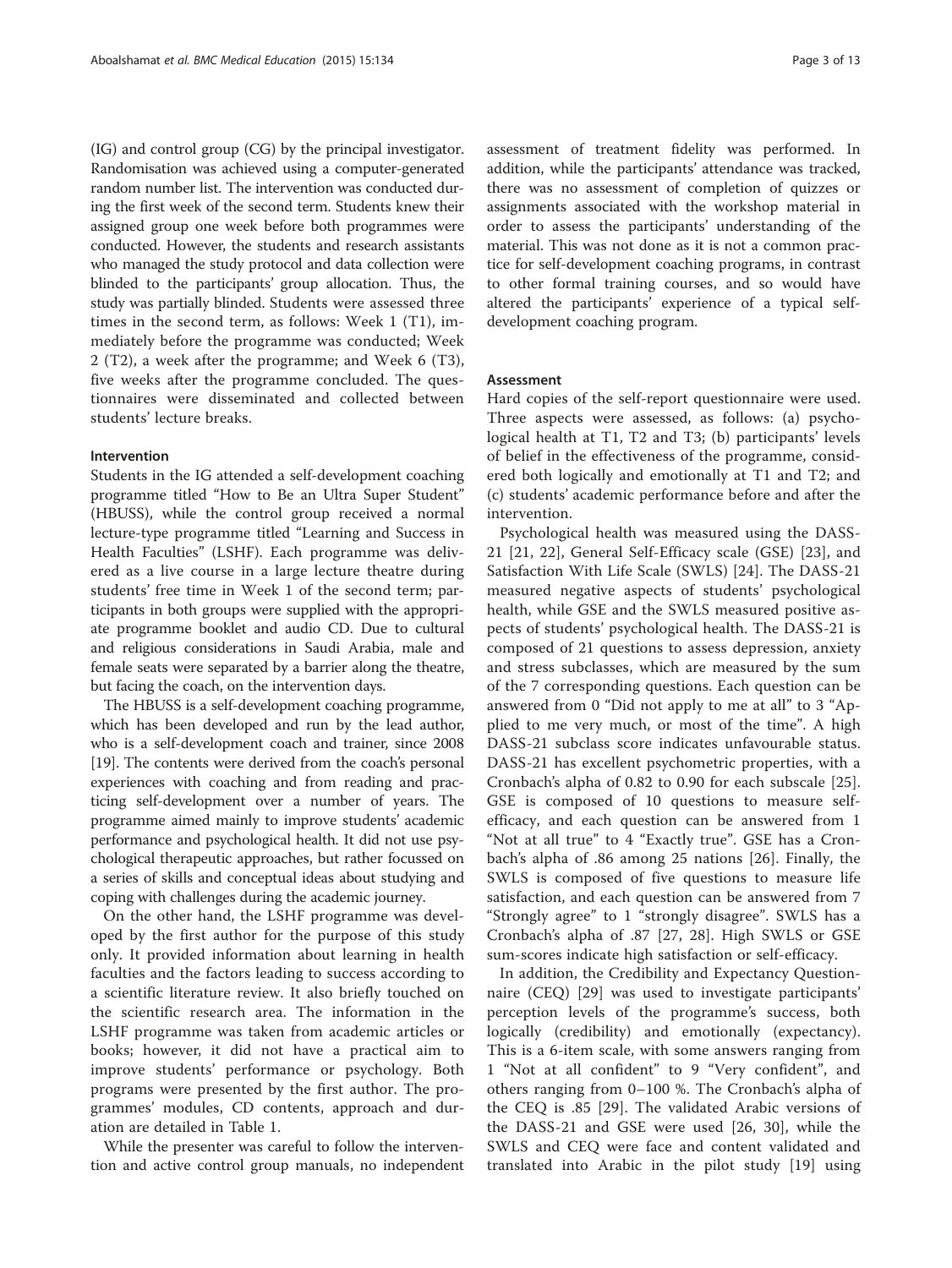(IG) and control group (CG) by the principal investigator. Randomisation was achieved using a computer-generated random number list. The intervention was conducted during the first week of the second term. Students knew their assigned group one week before both programmes were conducted. However, the students and research assistants who managed the study protocol and data collection were blinded to the participants' group allocation. Thus, the study was partially blinded. Students were assessed three times in the second term, as follows: Week 1 (T1), immediately before the programme was conducted; Week 2 (T2), a week after the programme; and Week 6 (T3), five weeks after the programme concluded. The questionnaires were disseminated and collected between students' lecture breaks.

#### Intervention

Students in the IG attended a self-development coaching programme titled "How to Be an Ultra Super Student" (HBUSS), while the control group received a normal lecture-type programme titled "Learning and Success in Health Faculties" (LSHF). Each programme was delivered as a live course in a large lecture theatre during students' free time in Week 1 of the second term; participants in both groups were supplied with the appropriate programme booklet and audio CD. Due to cultural and religious considerations in Saudi Arabia, male and female seats were separated by a barrier along the theatre, but facing the coach, on the intervention days.

The HBUSS is a self-development coaching programme, which has been developed and run by the lead author, who is a self-development coach and trainer, since 2008 [[19](#page-12-0)]. The contents were derived from the coach's personal experiences with coaching and from reading and practicing self-development over a number of years. The programme aimed mainly to improve students' academic performance and psychological health. It did not use psychological therapeutic approaches, but rather focussed on a series of skills and conceptual ideas about studying and coping with challenges during the academic journey.

On the other hand, the LSHF programme was developed by the first author for the purpose of this study only. It provided information about learning in health faculties and the factors leading to success according to a scientific literature review. It also briefly touched on the scientific research area. The information in the LSHF programme was taken from academic articles or books; however, it did not have a practical aim to improve students' performance or psychology. Both programs were presented by the first author. The programmes' modules, CD contents, approach and duration are detailed in Table [1.](#page-3-0)

While the presenter was careful to follow the intervention and active control group manuals, no independent

assessment of treatment fidelity was performed. In addition, while the participants' attendance was tracked, there was no assessment of completion of quizzes or assignments associated with the workshop material in order to assess the participants' understanding of the material. This was not done as it is not a common practice for self-development coaching programs, in contrast to other formal training courses, and so would have altered the participants' experience of a typical selfdevelopment coaching program.

#### Assessment

Hard copies of the self-report questionnaire were used. Three aspects were assessed, as follows: (a) psychological health at T1, T2 and T3; (b) participants' levels of belief in the effectiveness of the programme, considered both logically and emotionally at T1 and T2; and (c) students' academic performance before and after the intervention.

Psychological health was measured using the DASS-21 [[21, 22\]](#page-12-0), General Self-Efficacy scale (GSE) [[23](#page-12-0)], and Satisfaction With Life Scale (SWLS) [[24](#page-12-0)]. The DASS-21 measured negative aspects of students' psychological health, while GSE and the SWLS measured positive aspects of students' psychological health. The DASS-21 is composed of 21 questions to assess depression, anxiety and stress subclasses, which are measured by the sum of the 7 corresponding questions. Each question can be answered from 0 "Did not apply to me at all" to 3 "Applied to me very much, or most of the time". A high DASS-21 subclass score indicates unfavourable status. DASS-21 has excellent psychometric properties, with a Cronbach's alpha of 0.82 to 0.90 for each subscale [\[25](#page-12-0)]. GSE is composed of 10 questions to measure selfefficacy, and each question can be answered from 1 "Not at all true" to 4 "Exactly true". GSE has a Cronbach's alpha of .86 among 25 nations [[26](#page-12-0)]. Finally, the SWLS is composed of five questions to measure life satisfaction, and each question can be answered from 7 "Strongly agree" to 1 "strongly disagree". SWLS has a Cronbach's alpha of .87 [[27, 28\]](#page-12-0). High SWLS or GSE sum-scores indicate high satisfaction or self-efficacy.

In addition, the Credibility and Expectancy Questionnaire (CEQ) [[29\]](#page-12-0) was used to investigate participants' perception levels of the programme's success, both logically (credibility) and emotionally (expectancy). This is a 6-item scale, with some answers ranging from 1 "Not at all confident" to 9 "Very confident", and others ranging from 0–100 %. The Cronbach's alpha of the CEQ is .85 [\[29](#page-12-0)]. The validated Arabic versions of the DASS-21 and GSE were used [[26, 30](#page-12-0)], while the SWLS and CEQ were face and content validated and translated into Arabic in the pilot study [\[19](#page-12-0)] using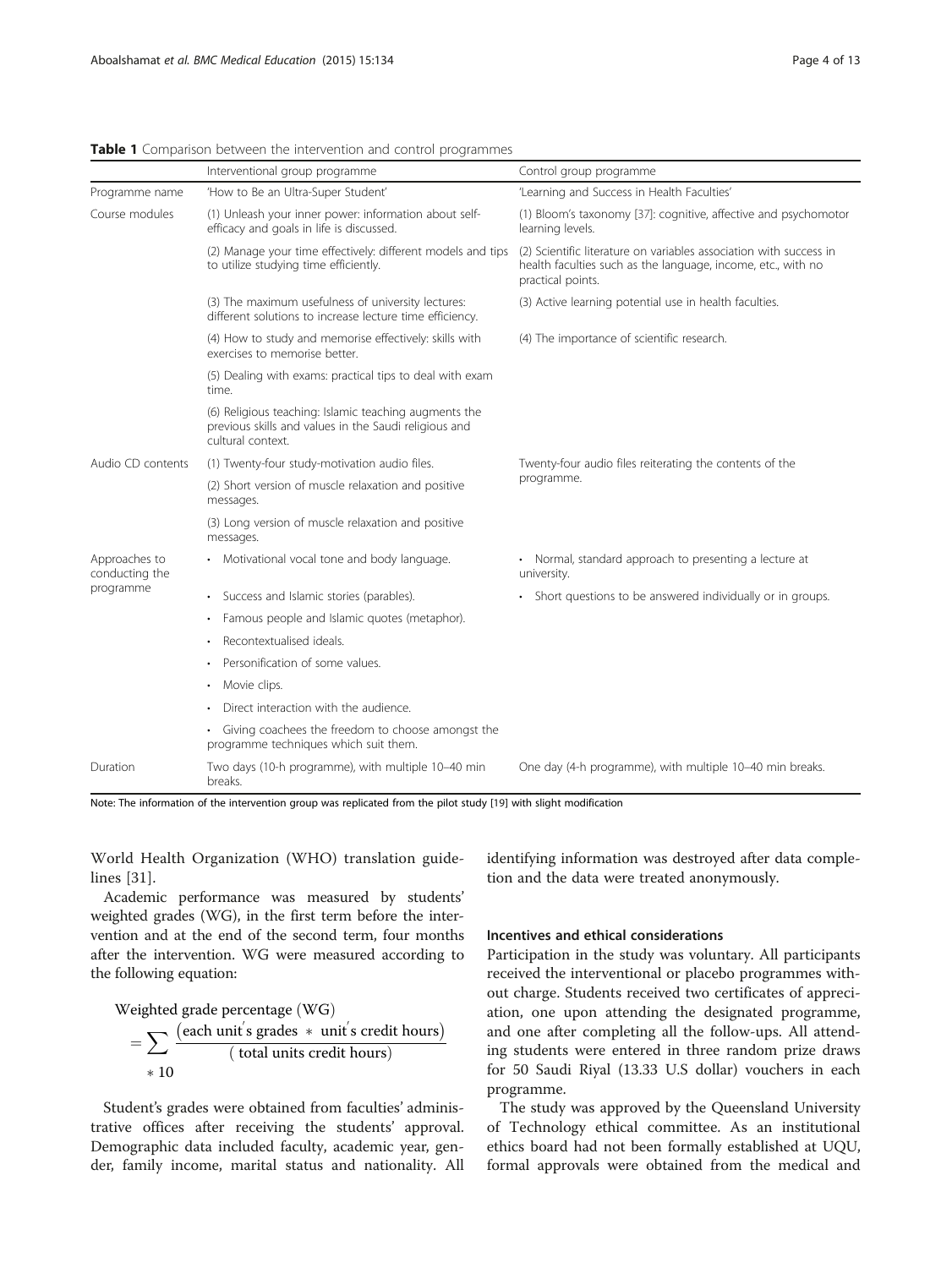|                                              | Interventional group programme                                                                                                      | Control group programme                                                                                                                                 |  |
|----------------------------------------------|-------------------------------------------------------------------------------------------------------------------------------------|---------------------------------------------------------------------------------------------------------------------------------------------------------|--|
| Programme name                               | 'How to Be an Ultra-Super Student'                                                                                                  | 'Learning and Success in Health Faculties'                                                                                                              |  |
| Course modules                               | (1) Unleash your inner power: information about self-<br>efficacy and goals in life is discussed.                                   | (1) Bloom's taxonomy [37]: cognitive, affective and psychomotor<br>learning levels.                                                                     |  |
|                                              | (2) Manage your time effectively: different models and tips<br>to utilize studying time efficiently.                                | (2) Scientific literature on variables association with success in<br>health faculties such as the language, income, etc., with no<br>practical points. |  |
|                                              | (3) The maximum usefulness of university lectures:<br>different solutions to increase lecture time efficiency.                      | (3) Active learning potential use in health faculties.                                                                                                  |  |
|                                              | (4) How to study and memorise effectively: skills with<br>exercises to memorise better.                                             | (4) The importance of scientific research.                                                                                                              |  |
|                                              | (5) Dealing with exams: practical tips to deal with exam<br>time.                                                                   |                                                                                                                                                         |  |
|                                              | (6) Religious teaching: Islamic teaching augments the<br>previous skills and values in the Saudi religious and<br>cultural context. |                                                                                                                                                         |  |
| Audio CD contents                            | (1) Twenty-four study-motivation audio files.                                                                                       | Twenty-four audio files reiterating the contents of the<br>programme.                                                                                   |  |
|                                              | (2) Short version of muscle relaxation and positive<br>messages.                                                                    |                                                                                                                                                         |  |
|                                              | (3) Long version of muscle relaxation and positive<br>messages.                                                                     |                                                                                                                                                         |  |
| Approaches to<br>conducting the<br>programme | • Motivational vocal tone and body language.                                                                                        | • Normal, standard approach to presenting a lecture at<br>university.                                                                                   |  |
|                                              | Success and Islamic stories (parables).<br>$\bullet$                                                                                | Short questions to be answered individually or in groups.                                                                                               |  |
|                                              | Famous people and Islamic quotes (metaphor).<br>$\bullet$                                                                           |                                                                                                                                                         |  |
|                                              | Recontextualised ideals.                                                                                                            |                                                                                                                                                         |  |
|                                              | Personification of some values.                                                                                                     |                                                                                                                                                         |  |
|                                              | • Movie clips.                                                                                                                      |                                                                                                                                                         |  |
|                                              | Direct interaction with the audience.                                                                                               |                                                                                                                                                         |  |
|                                              | • Giving coachees the freedom to choose amongst the<br>programme techniques which suit them.                                        |                                                                                                                                                         |  |
| Duration                                     | Two days (10-h programme), with multiple 10-40 min<br>breaks.                                                                       | One day (4-h programme), with multiple 10-40 min breaks.                                                                                                |  |

#### <span id="page-3-0"></span>Table 1 Comparison between the intervention and control programmes

Note: The information of the intervention group was replicated from the pilot study [[19](#page-12-0)] with slight modification

World Health Organization (WHO) translation guidelines [\[31](#page-12-0)].

Academic performance was measured by students' weighted grades (WG), in the first term before the intervention and at the end of the second term, four months after the intervention. WG were measured according to the following equation:

Weighted grade percentage  $(WG)$ 

$$
= \sum_{\text{# 10}} \frac{\text{(each unit's grades } * \text{ unit's credit hours)}}{\text{(total units credit hours)}}
$$

Student's grades were obtained from faculties' administrative offices after receiving the students' approval. Demographic data included faculty, academic year, gender, family income, marital status and nationality. All identifying information was destroyed after data completion and the data were treated anonymously.

# Incentives and ethical considerations

Participation in the study was voluntary. All participants received the interventional or placebo programmes without charge. Students received two certificates of appreciation, one upon attending the designated programme, and one after completing all the follow-ups. All attending students were entered in three random prize draws for 50 Saudi Riyal (13.33 U.S dollar) vouchers in each programme.

The study was approved by the Queensland University of Technology ethical committee. As an institutional ethics board had not been formally established at UQU, formal approvals were obtained from the medical and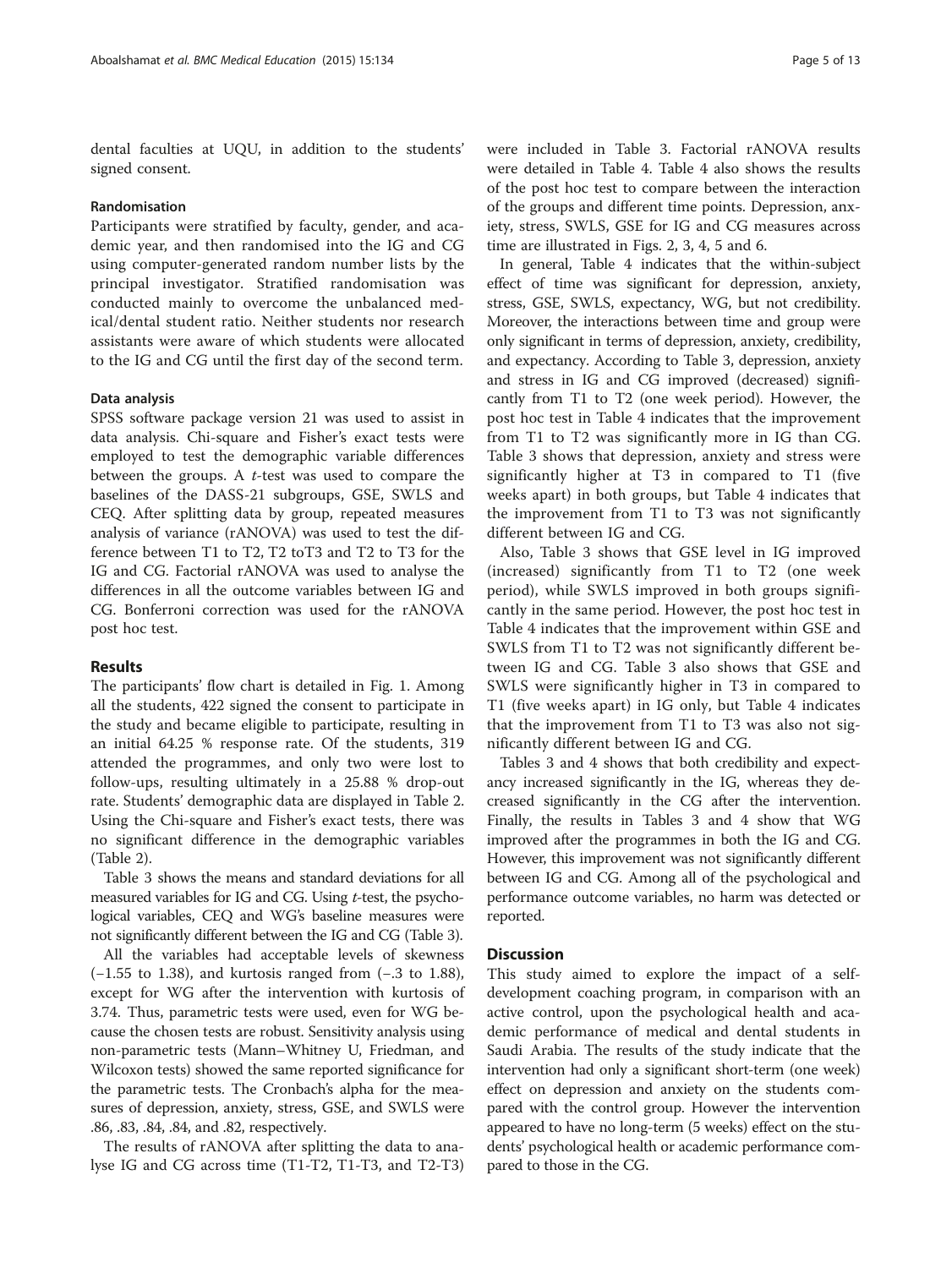dental faculties at UQU, in addition to the students' signed consent.

# Randomisation

Participants were stratified by faculty, gender, and academic year, and then randomised into the IG and CG using computer-generated random number lists by the principal investigator. Stratified randomisation was conducted mainly to overcome the unbalanced medical/dental student ratio. Neither students nor research assistants were aware of which students were allocated to the IG and CG until the first day of the second term.

# Data analysis

SPSS software package version 21 was used to assist in data analysis. Chi-square and Fisher's exact tests were employed to test the demographic variable differences between the groups. A  $t$ -test was used to compare the baselines of the DASS-21 subgroups, GSE, SWLS and CEQ. After splitting data by group, repeated measures analysis of variance (rANOVA) was used to test the difference between T1 to T2, T2 toT3 and T2 to T3 for the IG and CG. Factorial rANOVA was used to analyse the differences in all the outcome variables between IG and CG. Bonferroni correction was used for the rANOVA post hoc test.

#### Results

The participants' flow chart is detailed in Fig. [1.](#page-5-0) Among all the students, 422 signed the consent to participate in the study and became eligible to participate, resulting in an initial 64.25 % response rate. Of the students, 319 attended the programmes, and only two were lost to follow-ups, resulting ultimately in a 25.88 % drop-out rate. Students' demographic data are displayed in Table [2](#page-6-0). Using the Chi-square and Fisher's exact tests, there was no significant difference in the demographic variables (Table [2\)](#page-6-0).

Table [3](#page-6-0) shows the means and standard deviations for all measured variables for IG and CG. Using t-test, the psychological variables, CEQ and WG's baseline measures were not significantly different between the IG and CG (Table [3\)](#page-6-0).

All the variables had acceptable levels of skewness (−1.55 to 1.38), and kurtosis ranged from (−.3 to 1.88), except for WG after the intervention with kurtosis of 3.74. Thus, parametric tests were used, even for WG because the chosen tests are robust. Sensitivity analysis using non-parametric tests (Mann–Whitney U, Friedman, and Wilcoxon tests) showed the same reported significance for the parametric tests. The Cronbach's alpha for the measures of depression, anxiety, stress, GSE, and SWLS were .86, .83, .84, .84, and .82, respectively.

The results of rANOVA after splitting the data to analyse IG and CG across time (T1-T2, T1-T3, and T2-T3) were included in Table [3.](#page-6-0) Factorial rANOVA results were detailed in Table [4](#page-7-0). Table [4](#page-7-0) also shows the results of the post hoc test to compare between the interaction of the groups and different time points. Depression, anxiety, stress, SWLS, GSE for IG and CG measures across time are illustrated in Figs. [2](#page-8-0), [3](#page-8-0), [4](#page-9-0), [5](#page-9-0) and [6](#page-10-0).

In general, Table [4](#page-7-0) indicates that the within-subject effect of time was significant for depression, anxiety, stress, GSE, SWLS, expectancy, WG, but not credibility. Moreover, the interactions between time and group were only significant in terms of depression, anxiety, credibility, and expectancy. According to Table [3](#page-6-0), depression, anxiety and stress in IG and CG improved (decreased) significantly from T1 to T2 (one week period). However, the post hoc test in Table [4](#page-7-0) indicates that the improvement from T1 to T2 was significantly more in IG than CG. Table [3](#page-6-0) shows that depression, anxiety and stress were significantly higher at T3 in compared to T1 (five weeks apart) in both groups, but Table [4](#page-7-0) indicates that the improvement from T1 to T3 was not significantly different between IG and CG.

Also, Table [3](#page-6-0) shows that GSE level in IG improved (increased) significantly from T1 to T2 (one week period), while SWLS improved in both groups significantly in the same period. However, the post hoc test in Table [4](#page-7-0) indicates that the improvement within GSE and SWLS from T1 to T2 was not significantly different between IG and CG. Table [3](#page-6-0) also shows that GSE and SWLS were significantly higher in T3 in compared to T1 (five weeks apart) in IG only, but Table [4](#page-7-0) indicates that the improvement from T1 to T3 was also not significantly different between IG and CG.

Tables [3](#page-6-0) and [4](#page-7-0) shows that both credibility and expectancy increased significantly in the IG, whereas they decreased significantly in the CG after the intervention. Finally, the results in Tables [3](#page-6-0) and [4](#page-7-0) show that WG improved after the programmes in both the IG and CG. However, this improvement was not significantly different between IG and CG. Among all of the psychological and performance outcome variables, no harm was detected or reported.

# **Discussion**

This study aimed to explore the impact of a selfdevelopment coaching program, in comparison with an active control, upon the psychological health and academic performance of medical and dental students in Saudi Arabia. The results of the study indicate that the intervention had only a significant short-term (one week) effect on depression and anxiety on the students compared with the control group. However the intervention appeared to have no long-term (5 weeks) effect on the students' psychological health or academic performance compared to those in the CG.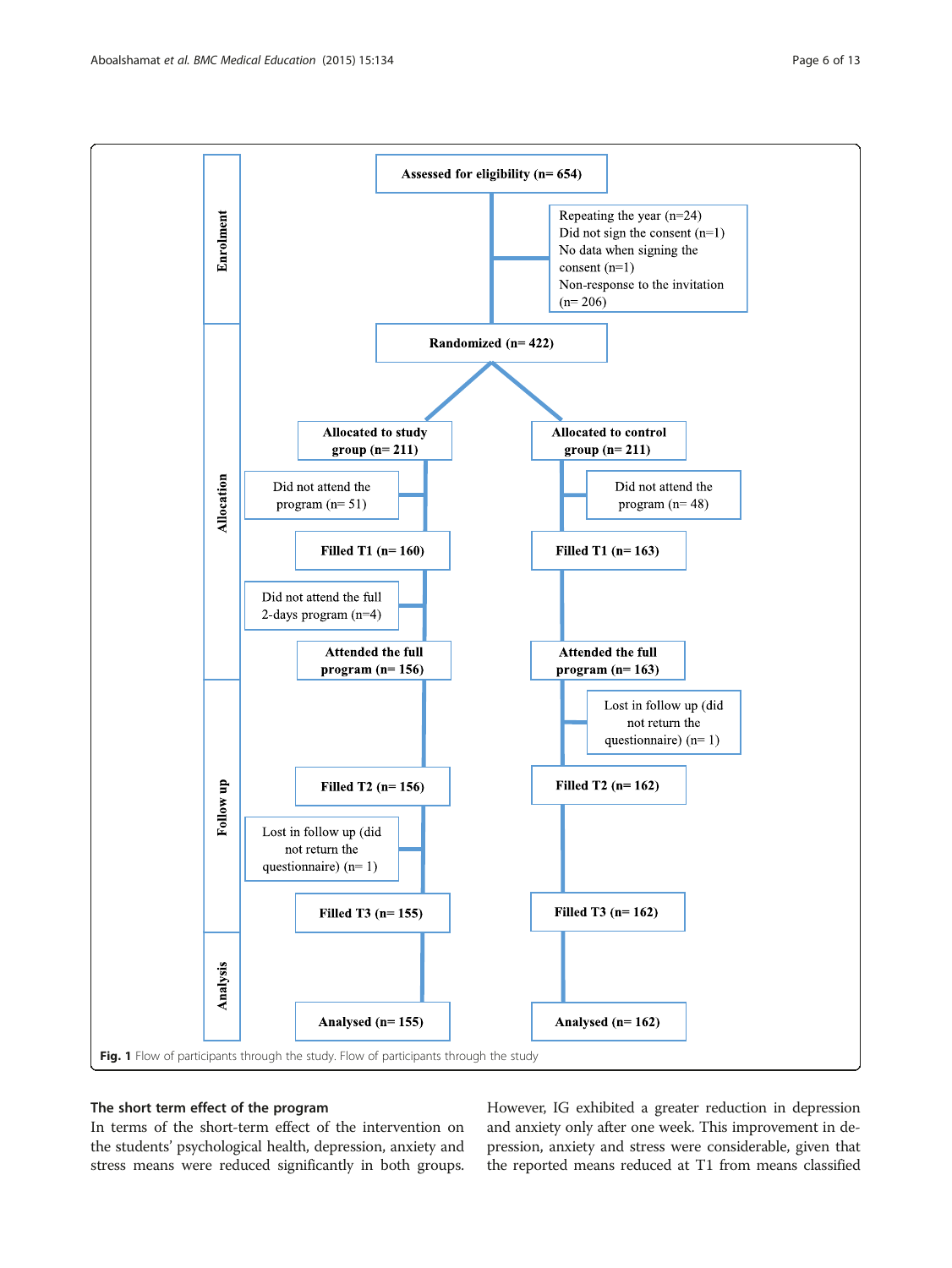<span id="page-5-0"></span>

# The short term effect of the program

In terms of the short-term effect of the intervention on the students' psychological health, depression, anxiety and stress means were reduced significantly in both groups.

However, IG exhibited a greater reduction in depression and anxiety only after one week. This improvement in depression, anxiety and stress were considerable, given that the reported means reduced at T1 from means classified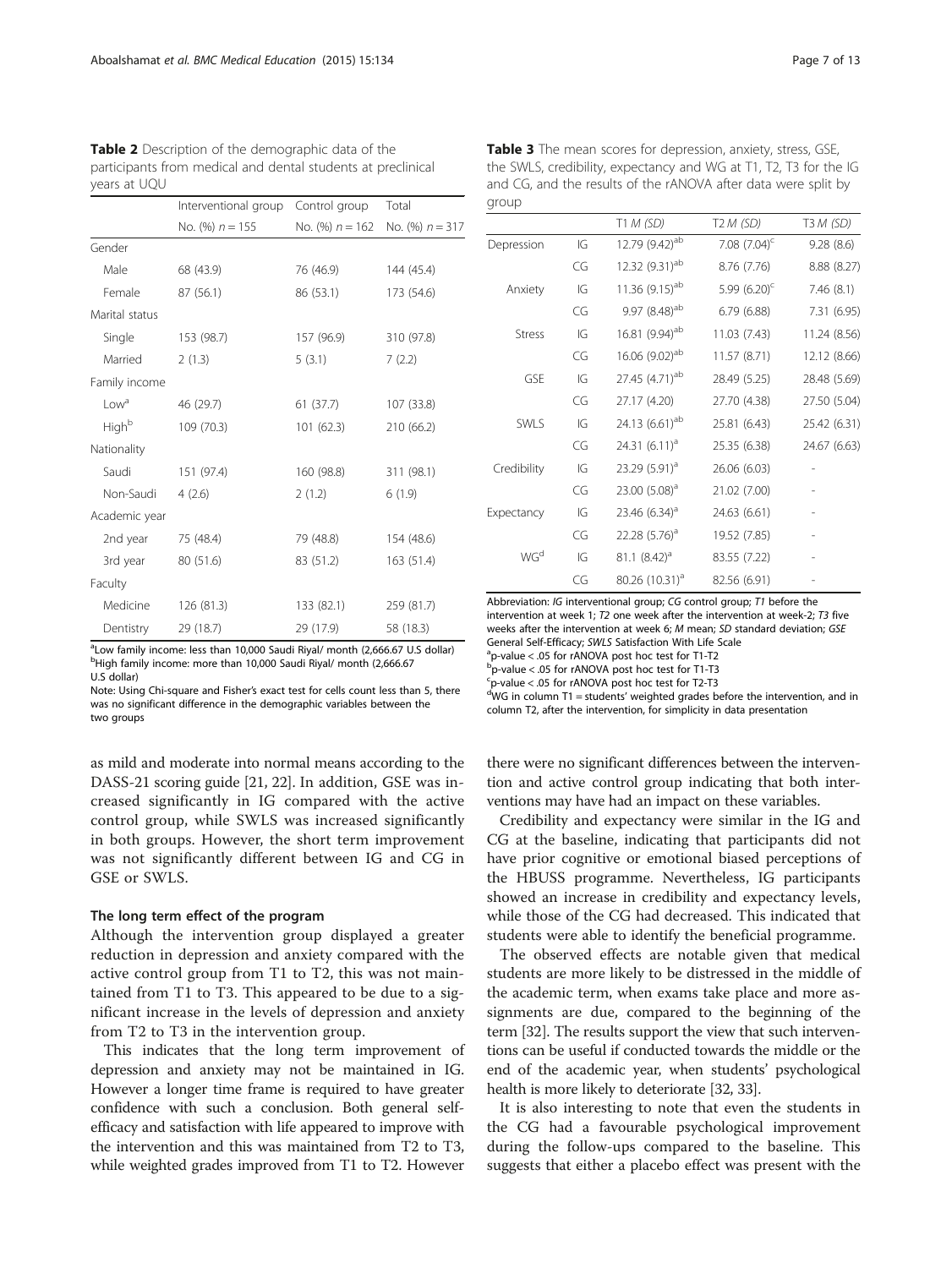| years at ogo        |                      |                   |                   |
|---------------------|----------------------|-------------------|-------------------|
|                     | Interventional group | Control group     | Total             |
|                     | No. (%) $n = 155$    | No. (%) $n = 162$ | No. (%) $n = 317$ |
| Gender              |                      |                   |                   |
| Male                | 68 (43.9)            | 76 (46.9)         | 144 (45.4)        |
| Female              | 87 (56.1)            | 86 (53.1)         | 173 (54.6)        |
| Marital status      |                      |                   |                   |
| Single              | 153 (98.7)           | 157 (96.9)        | 310 (97.8)        |
| Married             | 2(1.3)               | 5(3.1)            | 7(2.2)            |
| Family income       |                      |                   |                   |
| $1$ OW <sup>a</sup> | 46 (29.7)            | 61(37.7)          | 107 (33.8)        |
| High <sup>b</sup>   | 109 (70.3)           | 101 (62.3)        | 210 (66.2)        |
| Nationality         |                      |                   |                   |
| Saudi               | 151 (97.4)           | 160 (98.8)        | 311 (98.1)        |
| Non-Saudi           | 4(2.6)               | 2(1.2)            | 6(1.9)            |
| Academic year       |                      |                   |                   |
| 2nd year            | 75 (48.4)            | 79 (48.8)         | 154 (48.6)        |
| 3rd year            | 80 (51.6)            | 83 (51.2)         | 163 (51.4)        |
| Faculty             |                      |                   |                   |
| Medicine            | 126 (81.3)           | 133 (82.1)        | 259 (81.7)        |
| Dentistry           | 29 (18.7)            | 29 (17.9)         | 58 (18.3)         |

<span id="page-6-0"></span>Table 2 Description of the demographic data of the participants from medical and dental students at preclinical years at UQU

<sup>a</sup>Low family income: less than 10,000 Saudi Riyal/ month (2,666.67 U.S dollar) <sup>b</sup>High family income: more than 10,000 Saudi Riyal/ month (2,666.67 U.S dollar)

Note: Using Chi-square and Fisher's exact test for cells count less than 5, there was no significant difference in the demographic variables between the two groups

as mild and moderate into normal means according to the DASS-21 scoring guide [[21](#page-12-0), [22\]](#page-12-0). In addition, GSE was increased significantly in IG compared with the active control group, while SWLS was increased significantly in both groups. However, the short term improvement was not significantly different between IG and CG in GSE or SWLS.

# The long term effect of the program

Although the intervention group displayed a greater reduction in depression and anxiety compared with the active control group from T1 to T2, this was not maintained from T1 to T3. This appeared to be due to a significant increase in the levels of depression and anxiety from T2 to T3 in the intervention group.

This indicates that the long term improvement of depression and anxiety may not be maintained in IG. However a longer time frame is required to have greater confidence with such a conclusion. Both general selfefficacy and satisfaction with life appeared to improve with the intervention and this was maintained from T2 to T3, while weighted grades improved from T1 to T2. However

Table 3 The mean scores for depression, anxiety, stress, GSE, the SWLS, credibility, expectancy and WG at T1, T2, T3 for the IG and CG, and the results of the rANOVA after data were split by group

|                       |               | T1 M (SD)                                      | T <sub>2</sub> M (SD) | T3 M (SD)    |
|-----------------------|---------------|------------------------------------------------|-----------------------|--------------|
| Depression            | IG            | 12.79 (9.42) <sup>ab</sup>                     | 7.08 $(7.04)^c$       | 9.28(8.6)    |
|                       | CG            | 12.32 (9.31) <sup>ab</sup>                     | 8.76 (7.76)           | 8.88 (8.27)  |
| Anxiety               | IG            | 11.36 $(9.15)$ <sup>ab</sup>                   | 5.99 $(6.20)^c$       | 7.46(8.1)    |
|                       | CG            | 9.97 (8.48) <sup>ab</sup>                      | 6.79(6.88)            | 7.31 (6.95)  |
| <b>Stress</b>         | IG            | 16.81 (9.94) <sup>ab</sup>                     | 11.03 (7.43)          | 11.24 (8.56) |
|                       | CG            | 16.06 (9.02) <sup>ab</sup>                     | 11.57 (8.71)          | 12.12 (8.66) |
| GSE                   | IG            | 27.45 (4.71) <sup>ab</sup>                     | 28.49 (5.25)          | 28.48 (5.69) |
|                       | CG            | 27.17 (4.20)                                   | 27.70 (4.38)          | 27.50 (5.04) |
| SWLS                  | IG            | 24.13 (6.61) <sup>ab</sup>                     | 25.81 (6.43)          | 25.42 (6.31) |
|                       | CG            | 24.31 $(6.11)^a$                               | 25.35 (6.38)          | 24.67 (6.63) |
| Credibility           | IG            | 23.29 (5.91) <sup>a</sup>                      | 26.06 (6.03)          |              |
|                       | CG            | 23.00 $(5.08)^a$                               | 21.02 (7.00)          |              |
| Expectancy            | IG            | 23.46 $(6.34)$ <sup>a</sup>                    | 24.63 (6.61)          |              |
|                       | CG            | 22.28 $(5.76)^a$                               | 19.52 (7.85)          |              |
| WG <sup>d</sup>       | IG            | $81.1~(8.42)^a$                                | 83.55 (7.22)          |              |
|                       | CG            | 80.26 (10.31) <sup>a</sup>                     | 82.56 (6.91)          |              |
| All became the states | $\sim$ $\sim$ | $\mathbf{r}$ and $\mathbf{r}$ and $\mathbf{r}$ |                       |              |

Abbreviation: IG interventional group; CG control group; T1 before the intervention at week 1; T2 one week after the intervention at week-2; T3 five weeks after the intervention at week 6; M mean; SD standard deviation; GSE General Self-Efficacy; SWLS Satisfaction With Life Scale <sup>a</sup>  $^{\text{a}}$ p-value < .05 for rANOVA post hoc test for T1-T2

b<sub>p</sub>-value < .05 for rANOVA post hoc test for T1-T3

<sup>c</sup>p-value < .05 for rANOVA post hoc test for T2-T3

<sup>d</sup>WG in column T1 = students' weighted grades before the intervention, and in column T2, after the intervention, for simplicity in data presentation

there were no significant differences between the intervention and active control group indicating that both interventions may have had an impact on these variables.

Credibility and expectancy were similar in the IG and CG at the baseline, indicating that participants did not have prior cognitive or emotional biased perceptions of the HBUSS programme. Nevertheless, IG participants showed an increase in credibility and expectancy levels, while those of the CG had decreased. This indicated that students were able to identify the beneficial programme.

The observed effects are notable given that medical students are more likely to be distressed in the middle of the academic term, when exams take place and more assignments are due, compared to the beginning of the term [\[32](#page-12-0)]. The results support the view that such interventions can be useful if conducted towards the middle or the end of the academic year, when students' psychological health is more likely to deteriorate [\[32, 33](#page-12-0)].

It is also interesting to note that even the students in the CG had a favourable psychological improvement during the follow-ups compared to the baseline. This suggests that either a placebo effect was present with the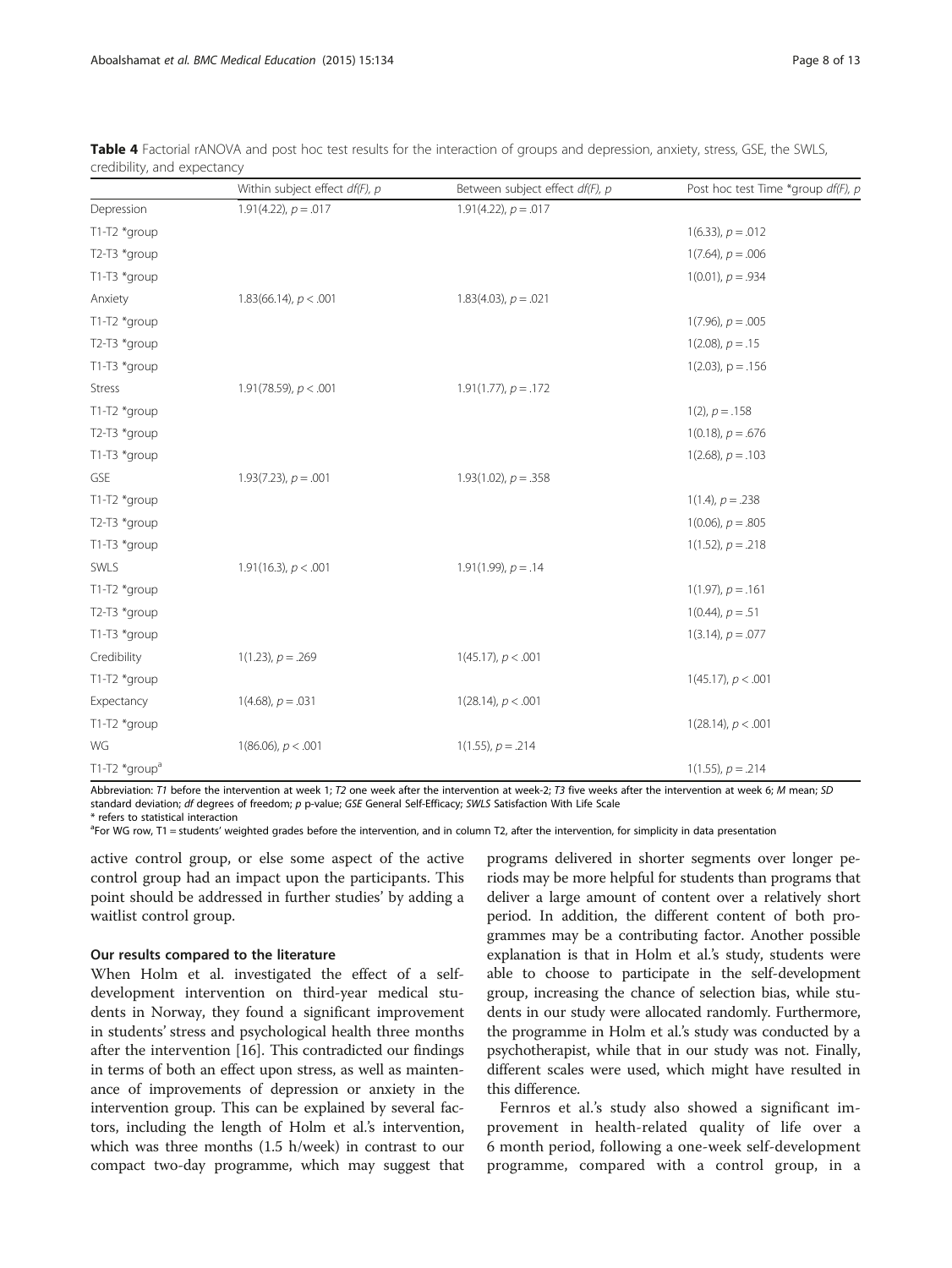|                           | Within subject effect df(F), p | Between subject effect df(F), p | Post hoc test Time *group df(F), p |
|---------------------------|--------------------------------|---------------------------------|------------------------------------|
| Depression                | 1.91(4.22), $p = .017$         | 1.91(4.22), $p = .017$          |                                    |
| T1-T2 *group              |                                |                                 | $1(6.33), p = .012$                |
| T2-T3 *group              |                                |                                 | $1(7.64), p = .006$                |
| T1-T3 *group              |                                |                                 | $1(0.01)$ , $p = .934$             |
| Anxiety                   | 1.83(66.14), p < .001          | $1.83(4.03)$ , $p = .021$       |                                    |
| T1-T2 *group              |                                |                                 | 1(7.96), $p = .005$                |
| T2-T3 *group              |                                |                                 | 1(2.08), $p = .15$                 |
| T1-T3 *group              |                                |                                 | $1(2.03)$ , p = .156               |
| Stress                    | 1.91(78.59), $p < .001$        | 1.91(1.77), $p = .172$          |                                    |
| T1-T2 *group              |                                |                                 | $1(2), p = .158$                   |
| T2-T3 *group              |                                |                                 | 1(0.18), $p = .676$                |
| T1-T3 *group              |                                |                                 | 1(2.68), $p = .103$                |
| GSE                       | $1.93(7.23), p = .001$         | $1.93(1.02)$ , $p = .358$       |                                    |
| T1-T2 *group              |                                |                                 | $1(1.4)$ , $p = .238$              |
| T2-T3 *group              |                                |                                 | $1(0.06)$ , $p=.805$               |
| T1-T3 *group              |                                |                                 | 1(1.52), $p = .218$                |
| SWLS                      | 1.91(16.3), $p < .001$         | $1.91(1.99)$ , $p=.14$          |                                    |
| T1-T2 *group              |                                |                                 | $1(1.97), p = .161$                |
| T2-T3 *group              |                                |                                 | $1(0.44), p = .51$                 |
| T1-T3 *group              |                                |                                 | $1(3.14), p = .077$                |
| Credibility               | $1(1.23), p = .269$            | 1(45.17), p < .001              |                                    |
| T1-T2 *group              |                                |                                 | 1(45.17), p < .001                 |
| Expectancy                | $1(4.68), p = .031$            | 1(28.14), p < .001              |                                    |
| T1-T2 *group              |                                |                                 | 1(28.14), p < .001                 |
| WG                        | $1(86.06)$ , $p < .001$        | 1(1.55), $p = .214$             |                                    |
| T1-T2 *group <sup>a</sup> |                                |                                 | $1(1.55)$ , $p = .214$             |

<span id="page-7-0"></span>Table 4 Factorial rANOVA and post hoc test results for the interaction of groups and depression, anxiety, stress, GSE, the SWLS, credibility, and expectancy

Abbreviation: T1 before the intervention at week 1; T2 one week after the intervention at week-2; T3 five weeks after the intervention at week 6; M mean; SD standard deviation; df degrees of freedom; p p-value; GSE General Self-Efficacy; SWLS Satisfaction With Life Scale

\* refers to statistical interaction

<sup>a</sup>For WG row, T1 = students' weighted grades before the intervention, and in column T2, after the intervention, for simplicity in data presentation

active control group, or else some aspect of the active control group had an impact upon the participants. This point should be addressed in further studies' by adding a waitlist control group.

# Our results compared to the literature

When Holm et al. investigated the effect of a selfdevelopment intervention on third-year medical students in Norway, they found a significant improvement in students' stress and psychological health three months after the intervention [[16](#page-12-0)]. This contradicted our findings in terms of both an effect upon stress, as well as maintenance of improvements of depression or anxiety in the intervention group. This can be explained by several factors, including the length of Holm et al.'s intervention, which was three months (1.5 h/week) in contrast to our compact two-day programme, which may suggest that programs delivered in shorter segments over longer periods may be more helpful for students than programs that deliver a large amount of content over a relatively short period. In addition, the different content of both programmes may be a contributing factor. Another possible explanation is that in Holm et al.'s study, students were able to choose to participate in the self-development group, increasing the chance of selection bias, while students in our study were allocated randomly. Furthermore, the programme in Holm et al.'s study was conducted by a psychotherapist, while that in our study was not. Finally, different scales were used, which might have resulted in this difference.

Fernros et al.'s study also showed a significant improvement in health-related quality of life over a 6 month period, following a one-week self-development programme, compared with a control group, in a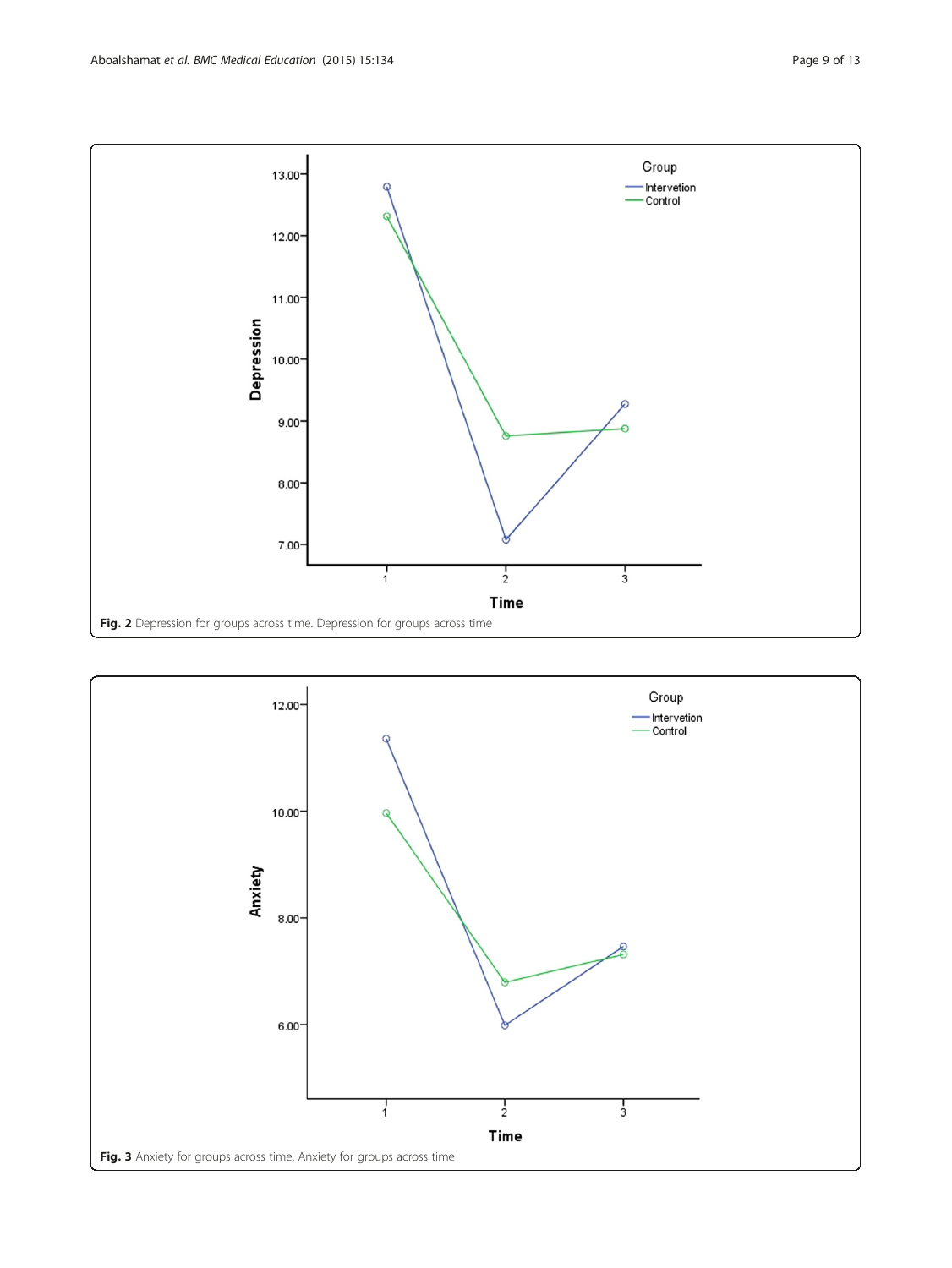<span id="page-8-0"></span>

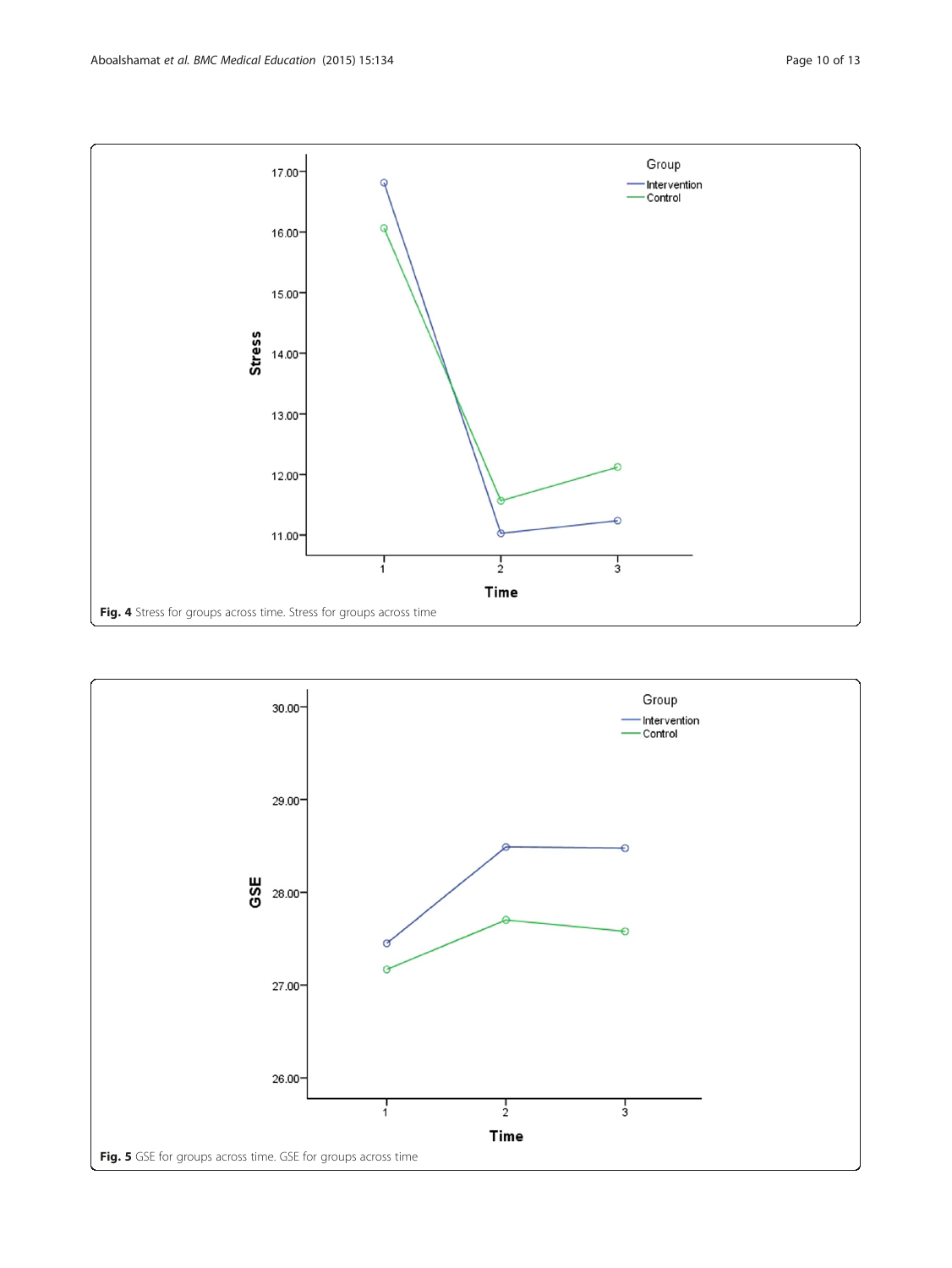

<span id="page-9-0"></span>

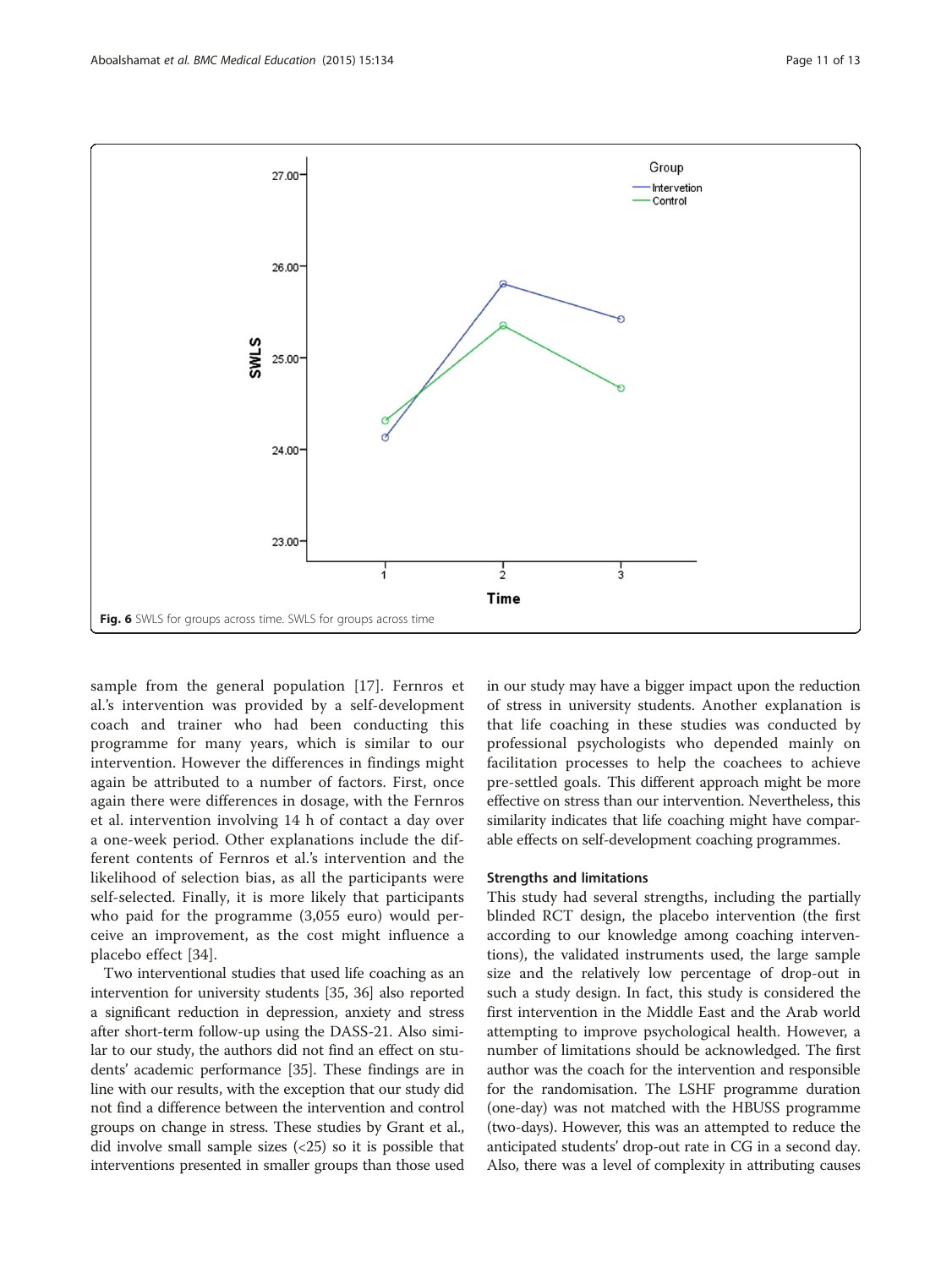<span id="page-10-0"></span>

sample from the general population [[17\]](#page-12-0). Fernros et al.'s intervention was provided by a self-development coach and trainer who had been conducting this programme for many years, which is similar to our intervention. However the differences in findings might again be attributed to a number of factors. First, once again there were differences in dosage, with the Fernros et al. intervention involving 14 h of contact a day over a one-week period. Other explanations include the different contents of Fernros et al.'s intervention and the likelihood of selection bias, as all the participants were self-selected. Finally, it is more likely that participants who paid for the programme (3,055 euro) would perceive an improvement, as the cost might influence a placebo effect [[34\]](#page-12-0).

Two interventional studies that used life coaching as an intervention for university students [\[35, 36\]](#page-12-0) also reported a significant reduction in depression, anxiety and stress after short-term follow-up using the DASS-21. Also similar to our study, the authors did not find an effect on students' academic performance [\[35\]](#page-12-0). These findings are in line with our results, with the exception that our study did not find a difference between the intervention and control groups on change in stress. These studies by Grant et al., did involve small sample sizes  $\left\langle \langle 25 \rangle \right\rangle$  so it is possible that interventions presented in smaller groups than those used in our study may have a bigger impact upon the reduction of stress in university students. Another explanation is that life coaching in these studies was conducted by professional psychologists who depended mainly on facilitation processes to help the coachees to achieve pre-settled goals. This different approach might be more effective on stress than our intervention. Nevertheless, this similarity indicates that life coaching might have comparable effects on self-development coaching programmes.

#### Strengths and limitations

This study had several strengths, including the partially blinded RCT design, the placebo intervention (the first according to our knowledge among coaching interventions), the validated instruments used, the large sample size and the relatively low percentage of drop-out in such a study design. In fact, this study is considered the first intervention in the Middle East and the Arab world attempting to improve psychological health. However, a number of limitations should be acknowledged. The first author was the coach for the intervention and responsible for the randomisation. The LSHF programme duration (one-day) was not matched with the HBUSS programme (two-days). However, this was an attempted to reduce the anticipated students' drop-out rate in CG in a second day. Also, there was a level of complexity in attributing causes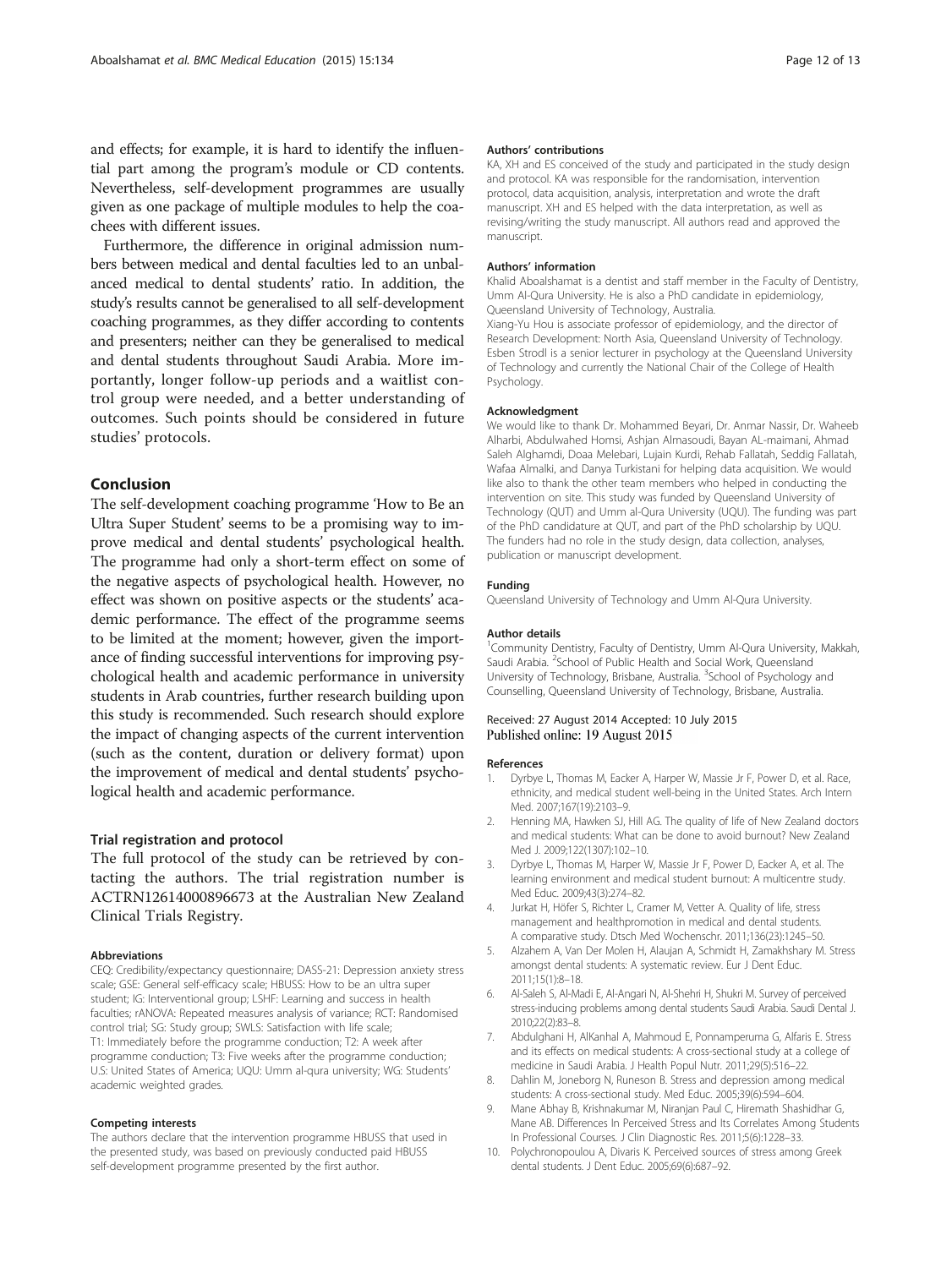<span id="page-11-0"></span>and effects; for example, it is hard to identify the influential part among the program's module or CD contents. Nevertheless, self-development programmes are usually given as one package of multiple modules to help the coachees with different issues.

Furthermore, the difference in original admission numbers between medical and dental faculties led to an unbalanced medical to dental students' ratio. In addition, the study's results cannot be generalised to all self-development coaching programmes, as they differ according to contents and presenters; neither can they be generalised to medical and dental students throughout Saudi Arabia. More importantly, longer follow-up periods and a waitlist control group were needed, and a better understanding of outcomes. Such points should be considered in future studies' protocols.

#### Conclusion

The self-development coaching programme 'How to Be an Ultra Super Student' seems to be a promising way to improve medical and dental students' psychological health. The programme had only a short-term effect on some of the negative aspects of psychological health. However, no effect was shown on positive aspects or the students' academic performance. The effect of the programme seems to be limited at the moment; however, given the importance of finding successful interventions for improving psychological health and academic performance in university students in Arab countries, further research building upon this study is recommended. Such research should explore the impact of changing aspects of the current intervention (such as the content, duration or delivery format) upon the improvement of medical and dental students' psychological health and academic performance.

#### Trial registration and protocol

The full protocol of the study can be retrieved by contacting the authors. The trial registration number is [ACTRN12614000896673](http://www.anzctr.org.au/ACTRN12614000896673) at the Australian New Zealand Clinical Trials Registry.

#### Abbreviations

CEQ: Credibility/expectancy questionnaire; DASS-21: Depression anxiety stress scale; GSE: General self-efficacy scale; HBUSS: How to be an ultra super student; IG: Interventional group; LSHF: Learning and success in health faculties; rANOVA: Repeated measures analysis of variance; RCT: Randomised control trial; SG: Study group; SWLS: Satisfaction with life scale; T1: Immediately before the programme conduction; T2: A week after programme conduction; T3: Five weeks after the programme conduction; U.S: United States of America; UQU: Umm al-qura university; WG: Students' academic weighted grades.

#### Competing interests

The authors declare that the intervention programme HBUSS that used in the presented study, was based on previously conducted paid HBUSS self-development programme presented by the first author.

#### Authors' contributions

KA, XH and ES conceived of the study and participated in the study design and protocol. KA was responsible for the randomisation, intervention protocol, data acquisition, analysis, interpretation and wrote the draft manuscript. XH and ES helped with the data interpretation, as well as revising/writing the study manuscript. All authors read and approved the manuscript.

#### Authors' information

Khalid Aboalshamat is a dentist and staff member in the Faculty of Dentistry, Umm Al-Qura University. He is also a PhD candidate in epidemiology, Queensland University of Technology, Australia. Xiang-Yu Hou is associate professor of epidemiology, and the director of

Research Development: North Asia, Queensland University of Technology. Esben Strodl is a senior lecturer in psychology at the Queensland University of Technology and currently the National Chair of the College of Health Psychology.

#### Acknowledgment

We would like to thank Dr. Mohammed Beyari, Dr. Anmar Nassir, Dr. Waheeb Alharbi, Abdulwahed Homsi, Ashjan Almasoudi, Bayan AL-maimani, Ahmad Saleh Alghamdi, Doaa Melebari, Lujain Kurdi, Rehab Fallatah, Seddig Fallatah, Wafaa Almalki, and Danya Turkistani for helping data acquisition. We would like also to thank the other team members who helped in conducting the intervention on site. This study was funded by Queensland University of Technology (QUT) and Umm al-Qura University (UQU). The funding was part of the PhD candidature at QUT, and part of the PhD scholarship by UQU. The funders had no role in the study design, data collection, analyses, publication or manuscript development.

#### Funding

Queensland University of Technology and Umm Al-Qura University.

#### Author details

<sup>1</sup> Community Dentistry, Faculty of Dentistry, Umm Al-Qura University, Makkah Saudi Arabia. <sup>2</sup>School of Public Health and Social Work, Queensland University of Technology, Brisbane, Australia. <sup>3</sup>School of Psychology and Counselling, Queensland University of Technology, Brisbane, Australia.

# Received: 27 August 2014 Accepted: 10 July 2015 Published online: 19 August 2015

#### References

- 1. Dyrbye L, Thomas M, Eacker A, Harper W, Massie Jr F, Power D, et al. Race, ethnicity, and medical student well-being in the United States. Arch Intern Med. 2007;167(19):2103–9.
- 2. Henning MA, Hawken SJ, Hill AG. The quality of life of New Zealand doctors and medical students: What can be done to avoid burnout? New Zealand Med J. 2009;122(1307):102–10.
- 3. Dyrbye L, Thomas M, Harper W, Massie Jr F, Power D, Eacker A, et al. The learning environment and medical student burnout: A multicentre study. Med Educ. 2009;43(3):274–82.
- 4. Jurkat H, Höfer S, Richter L, Cramer M, Vetter A. Quality of life, stress management and healthpromotion in medical and dental students. A comparative study. Dtsch Med Wochenschr. 2011;136(23):1245–50.
- 5. Alzahem A, Van Der Molen H, Alaujan A, Schmidt H, Zamakhshary M. Stress amongst dental students: A systematic review. Eur J Dent Educ. 2011;15(1):8–18.
- 6. Al-Saleh S, Al-Madi E, Al-Angari N, Al-Shehri H, Shukri M. Survey of perceived stress-inducing problems among dental students Saudi Arabia. Saudi Dental J. 2010;22(2):83–8.
- 7. Abdulghani H, AlKanhal A, Mahmoud E, Ponnamperuma G, Alfaris E. Stress and its effects on medical students: A cross-sectional study at a college of medicine in Saudi Arabia. J Health Popul Nutr. 2011;29(5):516–22.
- 8. Dahlin M, Joneborg N, Runeson B. Stress and depression among medical students: A cross-sectional study. Med Educ. 2005;39(6):594–604.
- 9. Mane Abhay B, Krishnakumar M, Niranjan Paul C, Hiremath Shashidhar G, Mane AB. Differences In Perceived Stress and Its Correlates Among Students In Professional Courses. J Clin Diagnostic Res. 2011;5(6):1228–33.
- 10. Polychronopoulou A, Divaris K. Perceived sources of stress among Greek dental students. J Dent Educ. 2005;69(6):687–92.